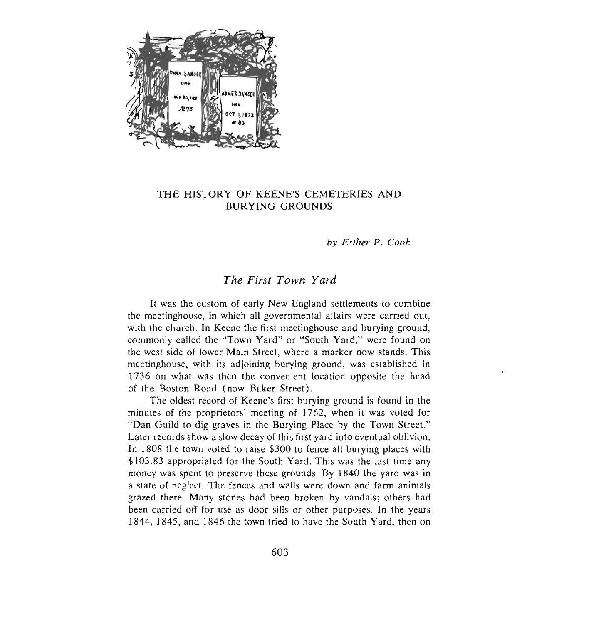

## THE HISTORY OF KEENE'S CEMETERIES AND BURYING GROUNDS

*by Esther P. Cook* 

# *The First Town Yard*

It was the custom of early New England settlements to combine the meetinghouse, in which all governmental affairs were carried out, with the church. In Keene the first meetinghouse and burying ground, commonly called the "Town Yard" or "South Yard," were found on the west side of lower Main Street, where a marker now stands. This meetinghouse, with its adjoining burying ground, was established in 1736 on what was then the convenient location opposite the head of the Boston Road (now Baker Street).

The oldest record of Keene's first burying ground is found in the minutes of the proprietors' meeting of 1762, when it was voted for "Dan Guild to dig graves in the Burying Place by the Town Street." Later records show a slow decay of this first yard into eventual oblivion. In 1808 the town voted to raise \$300 to fence all burying places with \$103 .83 appropriated for the South Yard. This was the last time any money was spent to preserve these grounds. By 1840 the yard was in a state of neglect. The fences and walls were down and farm animals grazed there. Many stones had been broken by vandals; others had been carried off for use as door sills or other purposes. In the years 1844, 1845, and 1846 the town tried to have the South Yard, then on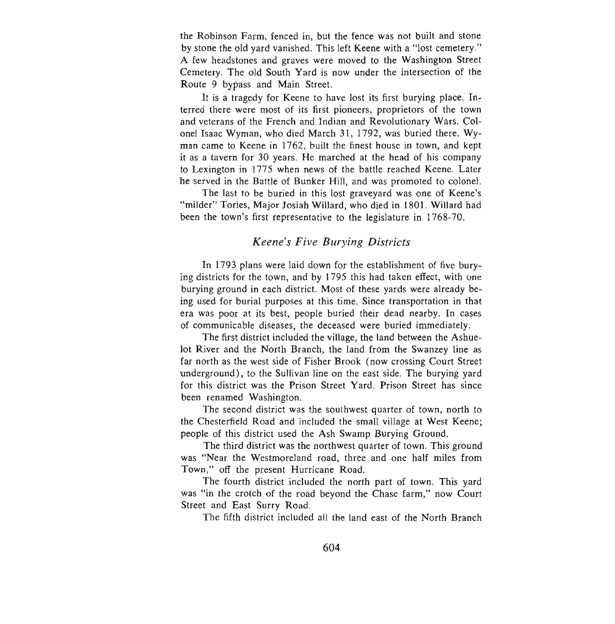the Robinson Farm, fenced in, but the fence was not built and stone by stone the old yard vanished. This left Keene with a "lost cemetery." A few headstones and graves were moved to the Washington Street Cemetery. The old South Yard is now under the intersection of the Route 9 bypass and Main Street.

It is a tragedy for Keene to have lost its first burying place. Interred there were most of its first pioneers, proprietors of the town and veterans of the French and Indian and Revolutionary Wars. Colonel Isaac Wyman, who died March 31, 1792, was buried there. Wyman came to Keene in 1762, built the finest house in town, and kept it as a tavern for 30 years . He marched at the head of his company to Lexington in 1775 when news of the battle reached Keene. Later he served in the Battle of Bunker Hill, and was promoted to colonel.

The last to be buried in this lost graveyard was one of Keene's "milder" Tories, Major Josiah Willard, who died in 1801. Willard had been the town's first representative to the legislature in 1768-70.

# *Keene's Five Burying Districts*

In 1793 plans were laid down for the establishment of five burying districts for the town, and by 1795 this had taken effect, with one burying ground in each district. Most of these yards were already being used for burial purposes at this time. Since transportation in that era was poor at its best, people buried their dead nearby. In cases of communicable diseases, the deceased were buried immediately.

The first district included the village, the land between the Ashuelot River and the North Branch, the land from the Swanzey line as far north as the west side of Fisher Brook (now crossing Court Street underground), to the Sullivan line on the east side. The burying yard for this district was the Prison Street Yard. Prison Street has since been renamed Washington.

The second district was the southwest quarter of town, north to the Chesterfield Road and included the small village at West Keene; people of this district used the Ash Swamp Burying Ground.

The third district was the northwest quarter of town. This ground was "Near the Westmoreland road, three and one half miles from Town," off the present Hurricane Road.

The fourth district included the north part of town. This yard was "in the crotch of the road beyond the Chase farm," now Court Street and East Surry Road.

The fifth district included all the land east of the North Branch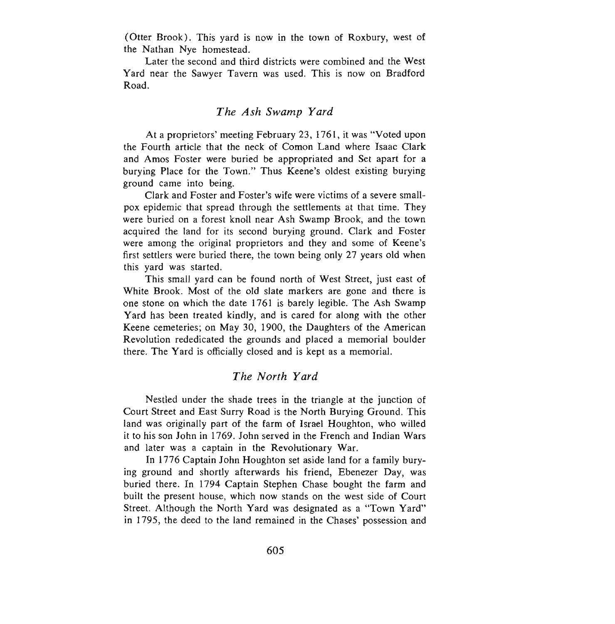(Otter Brook). This yard is now in the town of Roxbury, west of the Nathan Nye homestead.

Later the second and third districts were combined and the West Yard near the Sawyer Tavern was used. This is now on Bradford Road.

### *The Ash Swamp Yard*

At a proprietors' meeting February 23, 1761, it was "Voted upon the Fourth article that the neck of Comon Land where Isaac Clark and Amos Foster were buried be appropriated and Set apart for a burying Place for the Town." Thus Keene's oldest existing burying ground came into being.

Clark and Foster and Foster's wife were victims of a severe smallpox epidemic that spread through the settlements at that time. They were buried on a forest knoll near Ash Swamp Brook, and the town acquired the land for its second burying ground. Clark and Foster were among the original proprietors and they and some of Keene's first settlers were buried there, the town being only 27 years old when this yard was started.

This small yard can be found north of West Street, just east of White Brook. Most of the old slate markers are gone and there is one stone on which the date 1761 is barely legible. The Ash Swamp Yard has been treated kindly, and is cared for along with the other Keene cemeteries; on May 30, 1900, the Daughters of the American Revolution rededicated the grounds and placed a memorial boulder there. The Yard is officially closed and is kept as a memorial.

### *The North Yard*

Nestled under the shade trees in the triangle at the junction of Court Street and East Surry Road is the North Burying Ground. This land was originally part of the farm of Israel Houghton, who willed it to his son John in 1769 . John served in the French and Indian Wars and later was a captain in the Revolutionary War.

In 1776 Captain John Houghton set aside land for a family burying ground and shortly afterwards his friend, Ebenezer Day, was buried there. In 1794 Captain Stephen Chase bought the farm and built the present house, which now stands on the west side of Court Street. Although the North Yard was designated as a "Town Yard" in 1795, the deed to the land remained in the Chases' possession and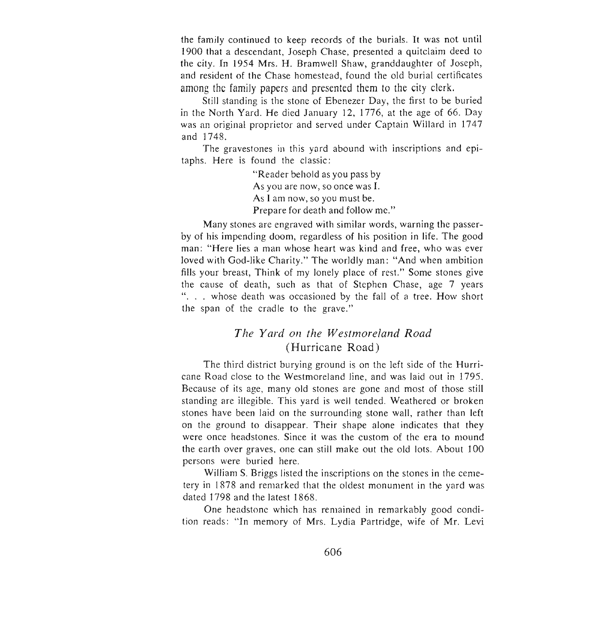the family continued to keep records of the burials. It was not until 1900 that a de scendant, Joseph Chase, presented a quitclaim deed to the city. In 1954 Mrs. H. Bramwell Shaw, granddaughter of Joseph, and resident of the Chase homestead, found the old burial certificates among the family papers and presented them to the city clerk.

Still standing is the stone of Ebenezer Day, the first to be buried in the North Yard. He died January 12, 1776, at the age of 66. Day was an original proprietor and served under Captain Willard in 1747 and 1748.

The gravestones in this yard abound with inscriptions and epitaphs. Here is found the classic:

> "Reader behold as you pass by As you are now, so once was I. As I am now, so you must be. Prepare for death and follow me."

Many stones are engraved with similar words, warning the passerby of his impending doom, regardless of his position in life. The good man: "Here lies a man whose heart was kind and free, who was ever loved with God-like Charity." The worldly man: "And when ambition fills your breast, Think of my lonely place of rest." Some stones give the cause of death, such as that of Stephen Chase, age 7 years ". . . whose death was occasioned by the fall of a tree. How short the span of the cradle to the grave."

# *The Yard Oil the Westmoreland Road*  (Hurricane Road)

The third district burying ground is on the left side of the Hurricane Road close to the Westmoreland line, and was laid out in 1795. Because of its age, many old stones are gone and most of those still standing are illegible. This yard is well tended. Weathered or broken stones have been laid on the surrounding stone wall, rather than left on the ground to disappear. Their shape alone indicates that they were once headstones. Since it was the custom of the era to mound the earth over graves, one can still make out the old lots. About 100 persons were buried here.

William S. Briggs listed the inscriptions on the stones in the cemetery in 1878 and remarked that the oldest monument in the yard was dated 1798 and the latest 1868.

One headstone which has remained in remarkably good condition reads: "In memory of Mrs. Lydia Partridge, wife of Mr. Levi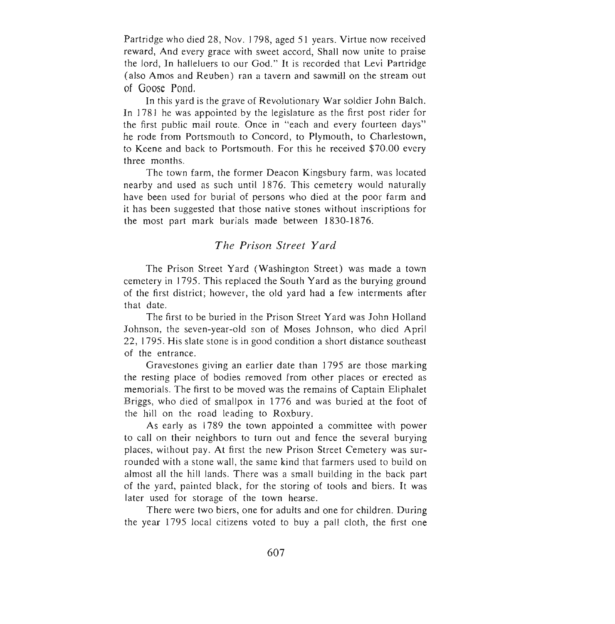Partridge who died 28, Nov. 1798, aged 51 years. Virtue now received reward, And every grace with sweet accord, Shall now unite to praise the lord, In halleluers to our God." It is recorded that Levi Partridge (also Amos and Reuben) ran a tavern and sawmill on the stream out of Goose Pond.

In this yard is the grave of Revolutionary War soldier John Balch. In 1781 he was appointed by the legislature as the first post rider for the first public mail route. Once in "each and every fourteen days" he rode from Portsmouth to Concord, to Plymouth, to Charlestown, to Keene and back to Portsmouth. For this he received \$70.00 every three months.

The town farm, the former Deacon Kingsbury farm, was located nearby and used as such until 1876. This cemetery would naturally have been used for burial of persons who died at the poor farm and it has been suggested that those native stones without inscriptions for the most part mark burials made between 1830-1876.

## *The Prison Street Yard*

The Prison Street Yard (Washington Street) was made a town cemetery in 1795. This replaced the South Y ard as the burying ground of the first district; however, the old yard had a few interments after that date.

The first to be buried in the Prison Street Yard was John Holland Johnson, the seven-year-old son of Moses Johnson, who died April 22, 1795. His slate stone is in good condition a short distance southeast of the entrance.

Gravestones giving an earlier date than 1795 are those marking the resting place of bodies removed from other places or erected as memorials. The first to be moved was the remains of Captain Eliphalet Briggs, who died of smallpox in 1776 and was buried at the foot of the hill on the road leading to Roxbury.

As early as 1789 the town appointed a committee with power to call on their neighbors to turn out and fence the several burying places, without pay. At first the new Prison Street Cemetery was surrounded with a stone wall, the same kind that farmers used to build on almost all the hill lands. There was a small building in the back part of the yard, painted black, for the storing of tools and biers. It was later used for storage of the town hearse.

There were two biers, one for adults and one for children. During the year 1795 local citizens voted to buy a pall cloth, the first one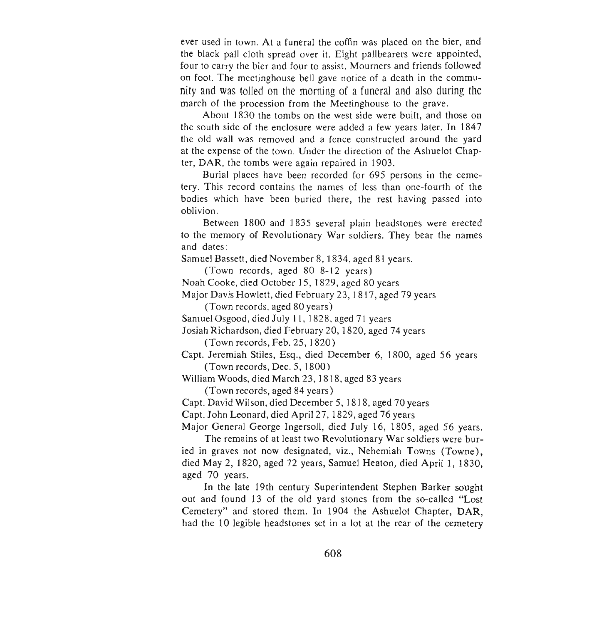ever used in town. At a funeral the coffin was placed on the bier, and the black pall cloth spread over it. Eight pallbearers were appointed, four to carry the bier and four to assist. Mourners and friends followed on foot. The meetinghouse bell gave notice of a death in the community and was tolled on the morning of a funeral and also during the march of the procession from the Meetinghouse to the grave.

About 1830 the tombs on the west side were built, and those on the south side of the enclosure were added a few years later. In 1847 the old wall was removed and a fence constructed around the yard at the expense of the town. Under the direction of the Ashuelot Chapter, DAR, the tombs were again repaired in 1903.

Burial places have been recorded for 695 persons in the cemetery. This record contains the names of less than one-fourth of the bodies which have been buried there, the rest having passed into oblivion.

Between 1800 and 1835 several plain headstones were erected to the memory of Revolutionary War soldiers. They bear the names and dates:

Samuel Bassett, died November 8, 1834, aged 81 years.

(Town records, aged 80 8-12 years)

Noah Cooke, died October] 5, 1829, aged 80 years

Major Davis Howlett, died February 23, 1817, aged 79 years

(Town records, aged 80 years)

Samuel Osgood, died July II, ] 828, aged 7] years

Josiah Richardson, died February 20, ] 820, aged 74 years (Town records, Feb. 25,1820)

Capt. Jeremiah Stiles, Esq., died December 6, 1800, aged 56 years (Town records, Dec . 5, 1800)

William Woods, died March 23, 1818, aged 83 years

(Town records, aged 84 years)

Capt. David Wilson, died December 5, ] 818, aged 70 years

Capt. John Leonard, died April 27, 1829, aged 76 years

Major General George Ingersoll, died July 16, 1805, aged 56 years.

The remains of at least two Revolutionary War soldiers were buried in graves not now designated, viz., Nehemiah Towns (Towne), died May 2, 1820, aged 72 years, Samuel Heaton, died April 1, 1830, aged 70 years.

In the late 19th century Superintendent Stephen Barker sought out and found 13 of the old yard stones from the so-called "Lost Cemetery" and stored them. In 1904 the Ashuelot Chapter, DAR, had the 10 legible headstones set in a lot at the rear of the cemetery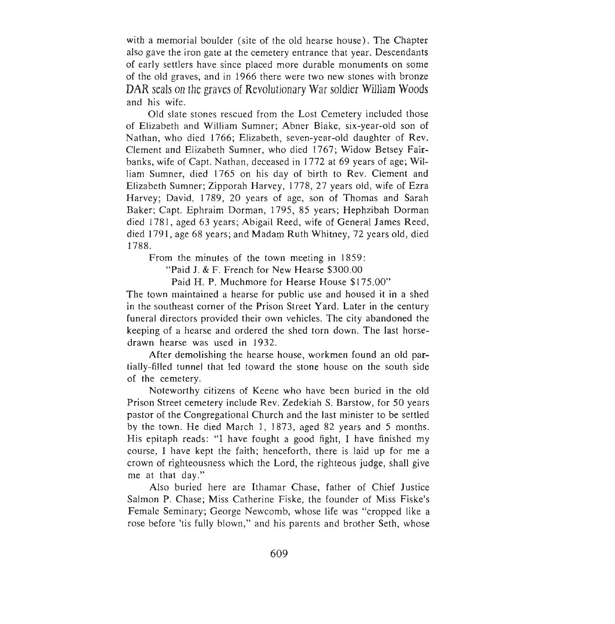with a memorial boulder (site of the old hearse house). The Chapter also gave the iron gate at the cemetery entrance that year. Descendants of early settlers have since placed more durable monuments on some of the old graves, and in 1966 there were two new stones with bronze **DAR**seals on the graves of Revolutionary War soldier William Woods and his wife.

Old slate stones rescued from the Lost Cemetery included those of Elizabeth and William Sumner; Abner Blake, six-year-old son of Nathan, who died 1766; Elizabeth, seven-year-old daughter of Rev. Clement and Elizabeth Sumner, who died 1767; Widow Betsey Fairbanks, wife of Capt. Nathan, deceased in 1772 at 69 years of age; William Sumner, died 1765 on his day of birth to Rev. Clement and Elizabeth Sumner; Zipporah Harvey, 1778, 27 years old, wife of Ezra Harvey; David, 1789, 20 years of age, son of Thomas and Sarah Baker; Capt. Ephraim Dorman, 1795, 85 years; Hephzibah Dorman died 1781, aged 63 years; Abigail Reed, wife of General James Reed, died 1791, age 68 years; and Madam Ruth Whitney, 72 years old , died 1788.

From the minutes of the town meeting in 1859:

"Paid J. & F. French for New Hearse \$300.00

Paid H. P. Muchmore for Hearse House \$175.00"

The town maintained a hearse for public use and housed it in a shed in the southeast corner of the Prison Street Yard. Later in the century funeral directors provided their own vehicles. The city abandoned the keeping of a hearse and ordered the shed torn down . The last horsedrawn hearse was used in 1932.

After demolishing the hearse house, workmen found an old partially-filled tunnel that led toward the stone house on the south side of the cemetery.

Noteworthy citizens of Keene who have been buried in the old Prison Street cemetery include Rev . Zedekiah S. Barstow, for 50 years pastor of the Congregational Church and the last minister to be settled by the town. He died March 1, 1873, aged 82 years and 5 months. His epitaph reads: "I have fought a good fight, I have finished my course, I have kept the faith; henceforth, there is laid up for me a crown of righteousness which the Lord, the righteous judge, shall give me at that day."

Also buried here are Ithamar Chase, father of Chief Justice Salmon P. Chase; Miss Catherine Fiske, the founder of Miss Fiske's Female Seminary; George Newcomb, whose life was "cropped like a rose before 'tis fully blown," and his parents and brother Seth, whose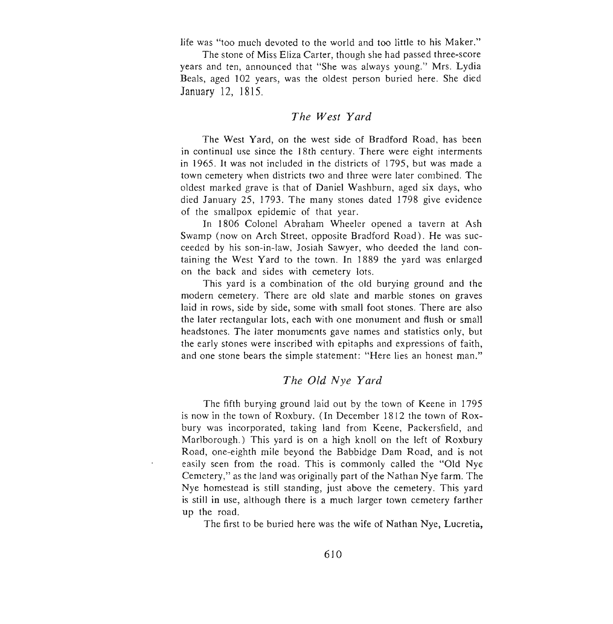life was "too much devoted to the world and too little to his Maker."

The stone of Miss Eliza Carter, though she had passed three-score years and ten, announced that "She was always young." Mrs. Lydia Beals, aged 102 years, was the oldest person buried here. She died January 12, 1815.

#### *The West Yard*

The West Yard, on the west side of Bradford Road, has been in continual use since the 18th century. There were eight interments in 1965. It was not included in the districts of 1795, but was made a town cemetery when districts two and three were later combined. The oldest marked grave is that of Daniel Washburn, aged six days, who died January 25, 1793. The many stones dated 1798 give evidence of the smallpox epidemic of that year.

In 1806 Colonel Abraham Wheeler opened a tavern at Ash Swamp (now on Arch Street, opposite Bradford Road). He was succeeded by his son-in-law, Josiah Sawyer, who deeded the land containing the West Yard to the town. In 1889 the yard was enlarged on the back and sides with cemetery lots.

This yard is a combination of the old burying ground and the modern cemetery. There are old slate and marble stones on graves laid in rows, side by side, some with small foot stones. There are also the later rectangular lots, each with one monument and flush or small headstones. The later monuments gave names and statistics only , but the early stones were inscribed with epitaphs and expressions of faith, and one stone bears the simple statement: "Here lies an honest man."

# *The Old Nye Yard*

The fifth burying ground laid out by the town of Keene in 1795 is now in the town of Roxbury. (In December 1812 the town of Roxbury was incorporated, taking land from Keene, Packersfield, and Marlborough.) This yard is on a high knoll on the left of Roxbury Road, one-eighth mile beyond the Babbidge Dam Road, and is not easily seen from the road. This is commonly called the "Old Nyc Cemetery," as the land was originally part of the Nathan Nye farm. The Nye homestead is still standing, just above the cemetery. This yard is still in use, although there is a much larger town cemetery farther up the road.

The first to be buried here was the wife of Nathan Nye, Lucretia,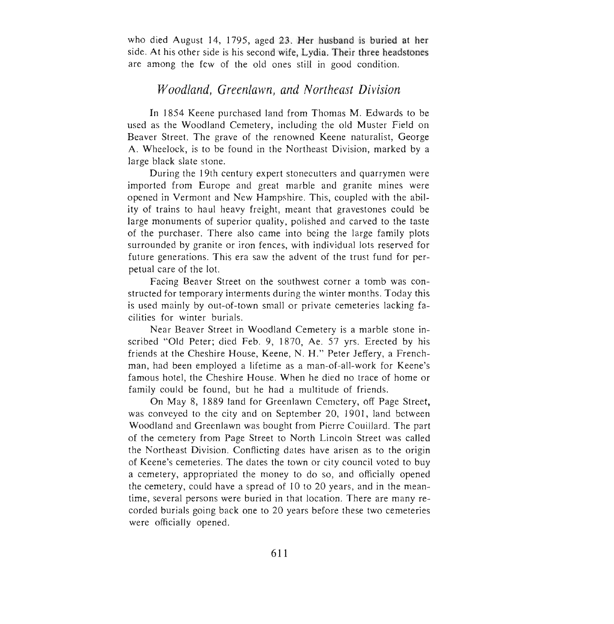who died August 14, 1795, aged 23. Her husband is buried at her side. At his other side is his second wife, Lydia. Their three headstones are among the few of the old ones still in good condition.

# *Woodland, Greenlawn, and Northeast Division*

In 1854 Keene purchased land from Thomas M. Edwards to be used as the Woodland Cemetery, including the old Muster Field on Beaver Street. The grave of the renowned Keene naturalist, George A. Wheelock, is to be found in the Northeast Division, marked by a large black slate stone.

During the 19th century expert stonecutters and quarrymen were imported from Europe and great marble and granite mines were opened in Vermont and New Hampshire. This, coupled with the ability of trains to haul heavy freight, meant that gravestones could be large monuments of superior quality, polished and carved to the taste of the purchaser. There also came into being the large family plots surrounded by granite or iron fences, with individual lots reserved for future generations. This era saw the advent of the trust fund for perpetual care of the lot.

Facing Beaver Street on the southwest corner a tomb was constructed for temporary interments during the winter months. Today this is used mainly by out-of-town small or private cemeteries lacking facilities for winter burials.

Near Beaver Street in Woodland Cemetery is a marble stone inscribed "Old Peter; died Feb. 9, 1870, Ae. 57 yrs. Erected by his friends at the Cheshire House, Keene, N. H." Peter Jeffery, a Frenchman, had been employed a lifetime as a man-of-all-work for Keene's famous hotel, the Cheshire House. When he died no trace of home or family could be found, but he had a multitude of friends.

On May 8, 1889 land for Greenlawn Cemetery, off Page Street, was conveyed to the city and on September 20, 1901, land between Woodland and Greenlawn was bought from Pierre Couillard. The part of the cemetery from Page Street to North Lincoln Street was called the Northeast Division. Conflicting dates have arisen as to the origin of Keene's cemeteries. The dates the town or city council voted to buy a cemetery, appropriated the money to do so, and officially opened the cemetery, could have a spread of 10 to 20 years, and in the meantime, several persons were buried in that location. There are many recorded burials going back one to 20 years before these two cemeteries were officially opened.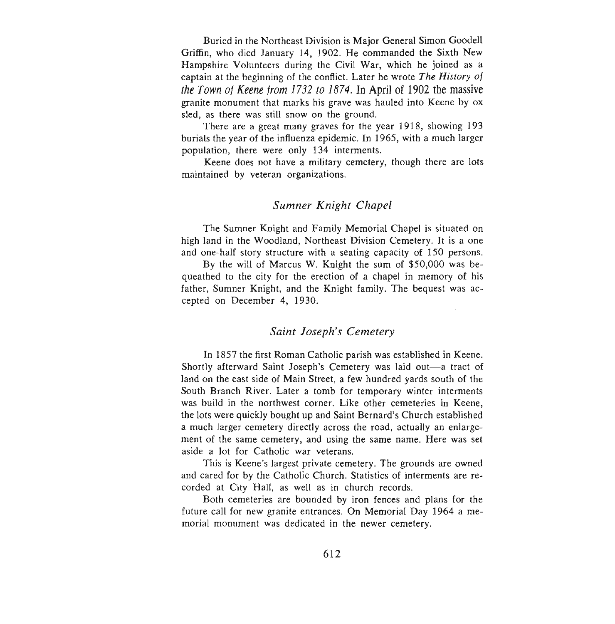Buried in the Northeast Division is Major General Simon Goodell Griffin, who died January 14, 1902. He commanded the Sixth New Hampshire Volunteers during the Civil War, which he joined as a captain at the beginning of the conflict. Later he wrote *The History of*  the Town of Keene from 1732 to 1874. In April of 1902 the massive granite monument that marks his grave was hauled into Keene by ox sled, as there was still snow on the ground.

There are a great many graves for the year 1918, showing 193 burials the year of the influenza epidemic. In 1965, with a much larger population, there were only 134 interments.

Keene does not have a military cemetery, though there are lots maintained by veteran organizations.

#### *Sumner Knight Chapel*

The Sumner Knight and Family Memorial Chapel is situated on high land in the Woodland, Northeast Division Cemetery. It is a one and one-half story structure with a seating capacity of 150 persons.

By the will of Marcus W. Knight the sum of \$50,000 was bequeathed to the city for the erection of a chapel in memory of his father, Sumner Knight, and the Knight family. The bequest was accepted on December 4, 1930.

#### *Saint Joseph's Cemetery*

In 1857 the first Roman Catholic parish was established in Keene. Shortly afterward Saint Joseph's Cemetery was laid out—a tract of land on the east side of Main Street, a few hundred yards south of the South Branch River. Later a tomb for temporary winter interments was build in the northwest corner. Like other cemeteries in Keene, the lots were quickly bought up and Saint Bernard's Church established a much larger cemetery directly across the road, actually an enlargement of the same cemetery, and using the same name. Here was set aside a lot for Catholic war veterans.

This is Keene 's largest private cemetery. The grounds are owned and cared for by the Catholic Church . Statistics of interments are recorded at City Hall, as well as in church records.

Both cemeteries are bounded by iron fences and plans for the future call for new granite entrances. On Memorial Day 1964 a memorial monument was dedicated in the newer cemetery.